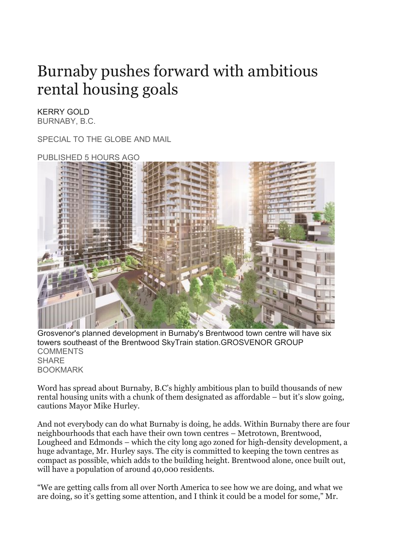## Burnaby pushes forward with ambitious rental housing goals

## KERRY GOLD BURNABY, B.C.

SPECIAL TO THE GLOBE AND MAIL



Grosvenor's planned development in Burnaby's Brentwood town centre will have six towers southeast of the Brentwood SkyTrain station.GROSVENOR GROUP **[COMMENTS](https://www.theglobeandmail.com/real-estate/article-burnaby-pushes-forward-with-ambitious-rental-housing-goals/#comments) SHARE** BOOKMARK

Word has spread about Burnaby, B.C's highly ambitious plan to build thousands of new rental housing units with a chunk of them designated as affordable – but it's slow going, cautions Mayor Mike Hurley.

And not everybody can do what Burnaby is doing, he adds. Within Burnaby there are four neighbourhoods that each have their own town centres – Metrotown, Brentwood, Lougheed and Edmonds – which the city long ago zoned for high-density development, a huge advantage, Mr. Hurley says. The city is committed to keeping the town centres as compact as possible, which adds to the building height. Brentwood alone, once built out, will have a population of around 40,000 residents.

"We are getting calls from all over North America to see how we are doing, and what we are doing, so it's getting some attention, and I think it could be a model for some," Mr.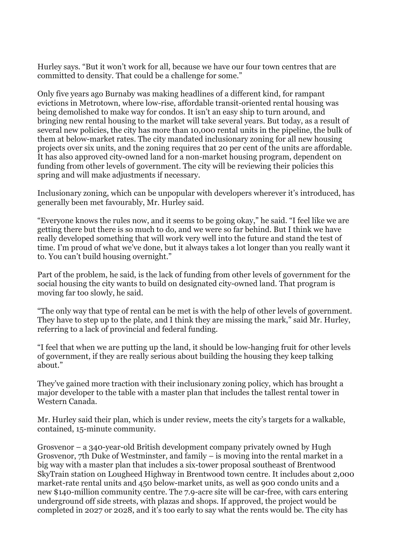Hurley says. "But it won't work for all, because we have our four town centres that are committed to density. That could be a challenge for some."

Only five years ago Burnaby was making headlines of a different kind, for rampant evictions in Metrotown, where low-rise, affordable transit-oriented rental housing was being demolished to make way for condos. It isn't an easy ship to turn around, and bringing new rental housing to the market will take several years. But today, as a result of several new policies, the city has more than 10,000 rental units in the pipeline, the bulk of them at below-market rates. The city mandated inclusionary zoning for all new housing projects over six units, and the zoning requires that 20 per cent of the units are affordable. It has also approved city-owned land for a non-market housing program, dependent on funding from other levels of government. The city will be reviewing their policies this spring and will make adjustments if necessary.

Inclusionary zoning, which can be unpopular with developers wherever it's introduced, has generally been met favourably, Mr. Hurley said.

"Everyone knows the rules now, and it seems to be going okay," he said. "I feel like we are getting there but there is so much to do, and we were so far behind. But I think we have really developed something that will work very well into the future and stand the test of time. I'm proud of what we've done, but it always takes a lot longer than you really want it to. You can't build housing overnight."

Part of the problem, he said, is the lack of funding from other levels of government for the social housing the city wants to build on designated city-owned land. That program is moving far too slowly, he said.

"The only way that type of rental can be met is with the help of other levels of government. They have to step up to the plate, and I think they are missing the mark," said Mr. Hurley, referring to a lack of provincial and federal funding.

"I feel that when we are putting up the land, it should be low-hanging fruit for other levels of government, if they are really serious about building the housing they keep talking about."

They've gained more traction with their inclusionary zoning policy, which has brought a major developer to the table with a master plan that includes the tallest rental tower in Western Canada.

Mr. Hurley said their plan, which is under review, meets the city's targets for a walkable, contained, 15-minute community.

Grosvenor – a 340-year-old British development company privately owned by Hugh Grosvenor, 7th Duke of Westminster, and family – is moving into the rental market in a big way with a master plan that includes a six-tower proposal southeast of Brentwood SkyTrain station on Lougheed Highway in Brentwood town centre. It includes about 2,000 market-rate rental units and 450 below-market units, as well as 900 condo units and a new \$140-million community centre. The 7.9-acre site will be car-free, with cars entering underground off side streets, with plazas and shops. If approved, the project would be completed in 2027 or 2028, and it's too early to say what the rents would be. The city has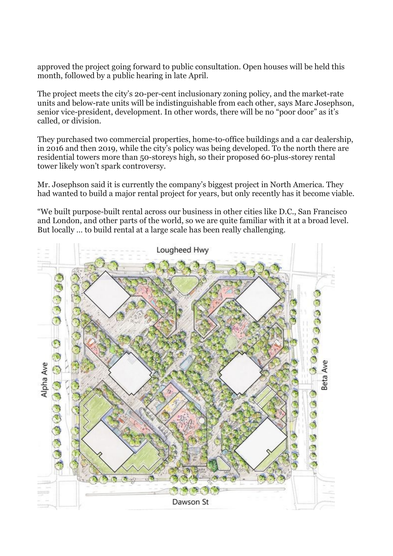approved the project going forward to public consultation. Open houses will be held this month, followed by a public hearing in late April.

The project meets the city's 20-per-cent inclusionary zoning policy, and the market-rate units and below-rate units will be indistinguishable from each other, says Marc Josephson, senior vice-president, development. In other words, there will be no "poor door" as it's called, or division.

They purchased two commercial properties, home-to-office buildings and a car dealership, in 2016 and then 2019, while the city's policy was being developed. To the north there are residential towers more than 50-storeys high, so their proposed 60-plus-storey rental tower likely won't spark controversy.

Mr. Josephson said it is currently the company's biggest project in North America. They had wanted to build a major rental project for years, but only recently has it become viable.

"We built purpose-built rental across our business in other cities like D.C., San Francisco and London, and other parts of the world, so we are quite familiar with it at a broad level. But locally … to build rental at a large scale has been really challenging.

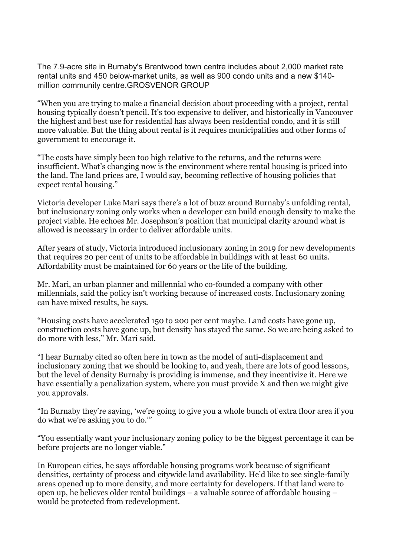The 7.9-acre site in Burnaby's Brentwood town centre includes about 2,000 market rate rental units and 450 below-market units, as well as 900 condo units and a new \$140 million community centre.GROSVENOR GROUP

"When you are trying to make a financial decision about proceeding with a project, rental housing typically doesn't pencil. It's too expensive to deliver, and historically in Vancouver the highest and best use for residential has always been residential condo, and it is still more valuable. But the thing about rental is it requires municipalities and other forms of government to encourage it.

"The costs have simply been too high relative to the returns, and the returns were insufficient. What's changing now is the environment where rental housing is priced into the land. The land prices are, I would say, becoming reflective of housing policies that expect rental housing."

Victoria developer Luke Mari says there's a lot of buzz around Burnaby's unfolding rental, but inclusionary zoning only works when a developer can build enough density to make the project viable. He echoes Mr. Josephson's position that municipal clarity around what is allowed is necessary in order to deliver affordable units.

After years of study, Victoria introduced inclusionary zoning in 2019 for new developments that requires 20 per cent of units to be affordable in buildings with at least 60 units. Affordability must be maintained for 60 years or the life of the building.

Mr. Mari, an urban planner and millennial who co-founded a company with other millennials, said the policy isn't working because of increased costs. Inclusionary zoning can have mixed results, he says.

"Housing costs have accelerated 150 to 200 per cent maybe. Land costs have gone up, construction costs have gone up, but density has stayed the same. So we are being asked to do more with less," Mr. Mari said.

"I hear Burnaby cited so often here in town as the model of anti-displacement and inclusionary zoning that we should be looking to, and yeah, there are lots of good lessons, but the level of density Burnaby is providing is immense, and they incentivize it. Here we have essentially a penalization system, where you must provide X and then we might give you approvals.

"In Burnaby they're saying, 'we're going to give you a whole bunch of extra floor area if you do what we're asking you to do.'"

"You essentially want your inclusionary zoning policy to be the biggest percentage it can be before projects are no longer viable."

In European cities, he says affordable housing programs work because of significant densities, certainty of process and citywide land availability. He'd like to see single-family areas opened up to more density, and more certainty for developers. If that land were to open up, he believes older rental buildings – a valuable source of affordable housing – would be protected from redevelopment.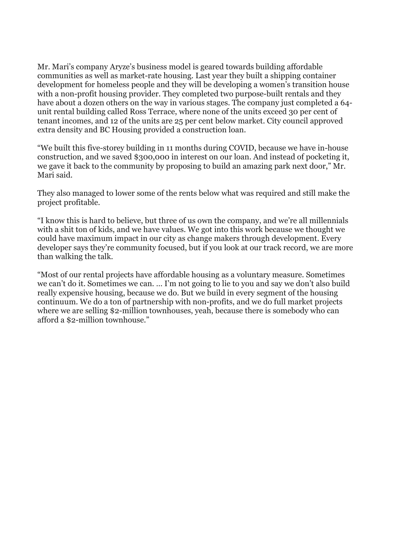Mr. Mari's company Aryze's business model is geared towards building affordable communities as well as market-rate housing. Last year they built a shipping container development for homeless people and they will be developing a women's transition house with a non-profit housing provider. They completed two purpose-built rentals and they have about a dozen others on the way in various stages. The company just completed a 64 unit rental building called Ross Terrace, where none of the units exceed 30 per cent of tenant incomes, and 12 of the units are 25 per cent below market. City council approved extra density and BC Housing provided a construction loan.

"We built this five-storey building in 11 months during COVID, because we have in-house construction, and we saved \$300,000 in interest on our loan. And instead of pocketing it, we gave it back to the community by proposing to build an amazing park next door," Mr. Mari said.

They also managed to lower some of the rents below what was required and still make the project profitable.

"I know this is hard to believe, but three of us own the company, and we're all millennials with a shit ton of kids, and we have values. We got into this work because we thought we could have maximum impact in our city as change makers through development. Every developer says they're community focused, but if you look at our track record, we are more than walking the talk.

"Most of our rental projects have affordable housing as a voluntary measure. Sometimes we can't do it. Sometimes we can. … I'm not going to lie to you and say we don't also build really expensive housing, because we do. But we build in every segment of the housing continuum. We do a ton of partnership with non-profits, and we do full market projects where we are selling \$2-million townhouses, yeah, because there is somebody who can afford a \$2-million townhouse."